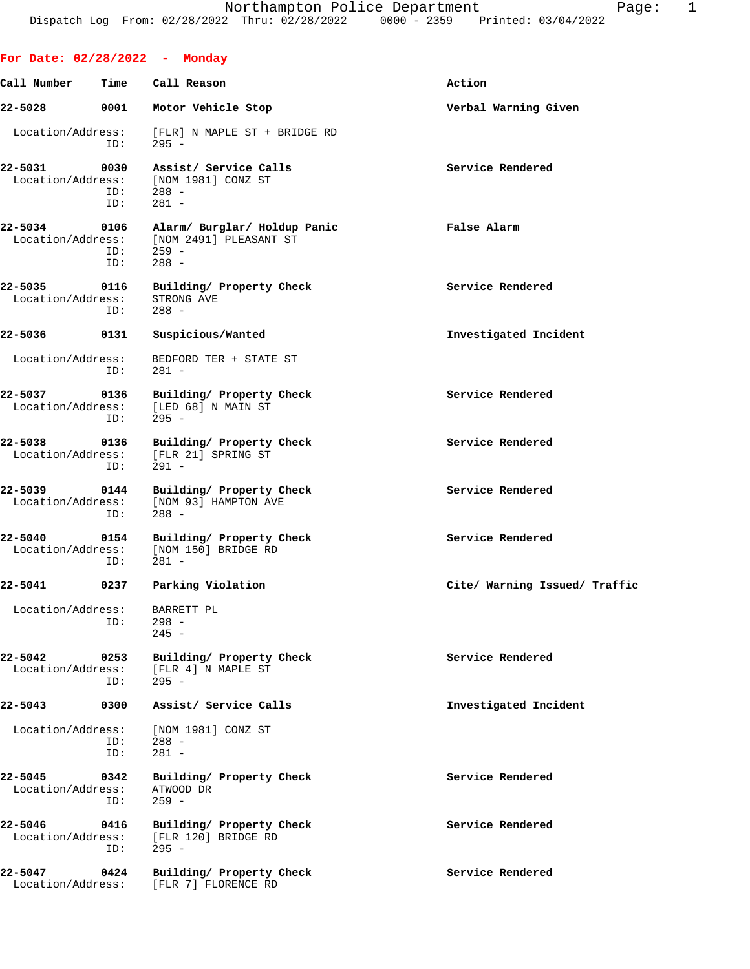|                              |                    | For Date: 02/28/2022 - Monday                                                     |                               |
|------------------------------|--------------------|-----------------------------------------------------------------------------------|-------------------------------|
| Call Number                  | Time               | Call Reason                                                                       | Action                        |
| 22-5028                      | 0001               | Motor Vehicle Stop                                                                | Verbal Warning Given          |
| Location/Address:            | ID:                | [FLR] N MAPLE ST + BRIDGE RD<br>$295 -$                                           |                               |
| 22-5031<br>Location/Address: | 0030<br>ID:<br>ID: | Assist/ Service Calls<br>[NOM 1981] CONZ ST<br>$288 -$<br>$281 -$                 | Service Rendered              |
| 22-5034<br>Location/Address: | ID:<br>ID:         | 0106 Alarm/ Burglar/ Holdup Panic<br>[NOM 2491] PLEASANT ST<br>$259 -$<br>$288 -$ | False Alarm                   |
| 22-5035<br>Location/Address: | 0116<br>ID:        | Building/ Property Check<br>STRONG AVE<br>$288 -$                                 | Service Rendered              |
| 22-5036                      | 0131               | Suspicious/Wanted                                                                 | Investigated Incident         |
| Location/Address:            | ID:                | BEDFORD TER + STATE ST<br>$281 -$                                                 |                               |
| 22-5037<br>Location/Address: | 0136<br>ID:        | Building/ Property Check<br>[LED 68] N MAIN ST<br>$295 -$                         | Service Rendered              |
| 22-5038<br>Location/Address: | 0136<br>ID:        | Building/ Property Check<br>[FLR 21] SPRING ST<br>$291 -$                         | Service Rendered              |
| 22-5039<br>Location/Address: | 0144<br>ID:        | Building/ Property Check<br>[NOM 93] HAMPTON AVE<br>$288 -$                       | Service Rendered              |
| 22-5040<br>Location/Address: | 0154<br>ID:        | Building/ Property Check<br>[NOM 150] BRIDGE RD<br>$281 -$                        | Service Rendered              |
| $22 - 5041$                  | 0237               | Parking Violation                                                                 | Cite/ Warning Issued/ Traffic |
| Location/Address:            | ID:                | BARRETT PL<br>$298 -$<br>$245 -$                                                  |                               |
| 22-5042<br>Location/Address: | 0253<br>ID:        | Building/ Property Check<br>[FLR 4] N MAPLE ST<br>$295 -$                         | Service Rendered              |
| 22-5043                      | 0300               | Assist/ Service Calls                                                             | Investigated Incident         |
| Location/Address:            | ID:<br>ID:         | [NOM 1981] CONZ ST<br>$288 -$<br>$281 -$                                          |                               |
| 22-5045<br>Location/Address: | 0342<br>ID:        | Building/ Property Check<br>ATWOOD DR<br>$259 -$                                  | Service Rendered              |
| 22-5046<br>Location/Address: | 0416<br>ID:        | Building/ Property Check<br>[FLR 120] BRIDGE RD<br>$295 -$                        | Service Rendered              |
| 22-5047<br>Location/Address: | 0424               | Building/ Property Check<br>[FLR 7] FLORENCE RD                                   | Service Rendered              |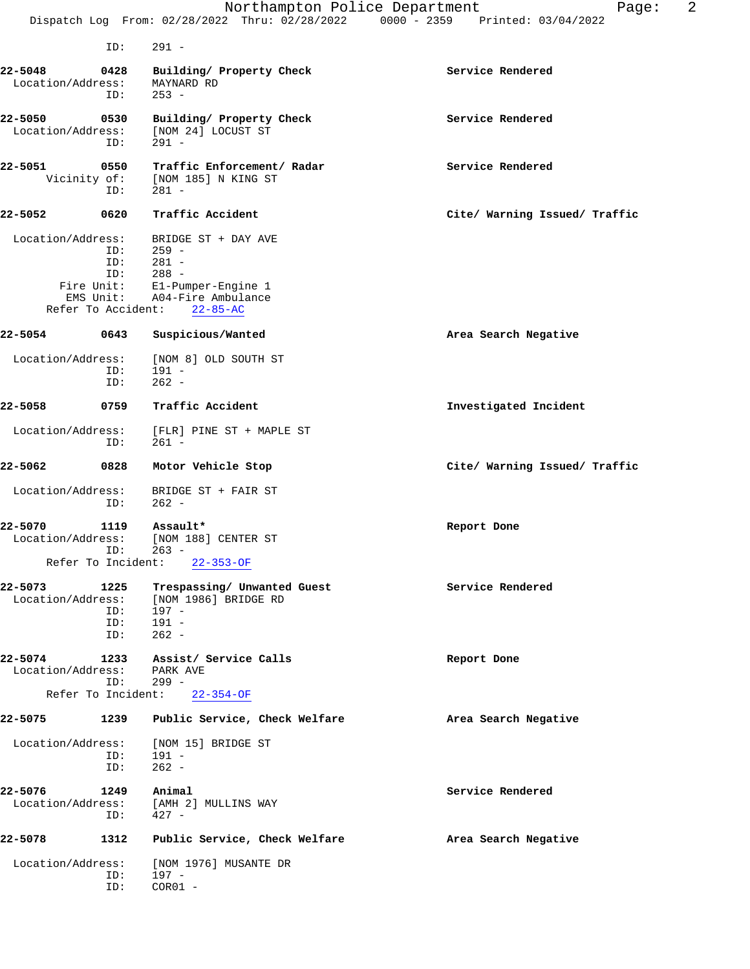|                                              |                    | Northampton Police Department<br>Dispatch Log From: 02/28/2022 Thru: 02/28/2022 0000 - 2359 Printed: 03/04/2022 | 2<br>Page:                    |
|----------------------------------------------|--------------------|-----------------------------------------------------------------------------------------------------------------|-------------------------------|
|                                              | ID:                | $291 -$                                                                                                         |                               |
|                                              |                    |                                                                                                                 |                               |
| 22-5048<br>Location/Address:                 | 0428<br>ID:        | Building/ Property Check<br>MAYNARD RD<br>$253 -$                                                               | Service Rendered              |
| 22-5050<br>Location/Address:                 | 0530<br>ID:        | Building/ Property Check<br>[NOM 24] LOCUST ST<br>$291 -$                                                       | Service Rendered              |
| 22-5051<br>Vicinity of:                      | 0550<br>ID:        | Traffic Enforcement/ Radar<br>[NOM 185] N KING ST<br>$281 -$                                                    | Service Rendered              |
| 22-5052                                      | 0620               | Traffic Accident                                                                                                | Cite/ Warning Issued/ Traffic |
| Location/Address:<br>Fire Unit:<br>EMS Unit: | ID:<br>ID:<br>ID:  | BRIDGE ST + DAY AVE<br>259 -<br>$281 -$<br>$288 -$<br>El-Pumper-Engine 1<br>A04-Fire Ambulance                  |                               |
| Refer To Accident:<br>22-5054                | 0643               | $22 - 85 - AC$<br>Suspicious/Wanted                                                                             | Area Search Negative          |
| Location/Address:                            | ID:<br>ID:         | [NOM 8] OLD SOUTH ST<br>$191 -$<br>$262 -$                                                                      |                               |
| 22-5058                                      | 0759               | Traffic Accident                                                                                                | Investigated Incident         |
| Location/Address:                            | ID:                | [FLR] PINE ST + MAPLE ST<br>$261 -$                                                                             |                               |
| 22-5062                                      | 0828               | Motor Vehicle Stop                                                                                              | Cite/ Warning Issued/ Traffic |
| Location/Address:                            | ID:                | BRIDGE ST + FAIR ST<br>$262 -$                                                                                  |                               |
| 22-5070<br>Location/Address:                 | 1119               | Assault*<br>[NOM 188] CENTER ST<br>ID: 263 -<br>Refer To Incident: 22-353-OF                                    | Report Done                   |
| 22-5073<br>Location/Address:                 | 1225<br>ID:<br>ID: | Trespassing/ Unwanted Guest<br>[NOM 1986] BRIDGE RD<br>$197 -$<br>$191 -$                                       | Service Rendered              |
|                                              | ID:                | $262 -$                                                                                                         |                               |
| Location/Address: PARK AVE                   | ID:                | 22-5074 1233 Assist/ Service Calls<br>299 -                                                                     | Report Done                   |
|                                              |                    | Refer To Incident: 22-354-OF                                                                                    |                               |
|                                              |                    | 22-5075 1239 Public Service, Check Welfare                                                                      | Area Search Negative          |
| Location/Address:                            | ID:<br>ID:         | [NOM 15] BRIDGE ST<br>$191 -$<br>$262 -$                                                                        |                               |
| 22-5076<br>Location/Address:                 | 1249<br>ID:        | Animal<br>[AMH 2] MULLINS WAY<br>$427 -$                                                                        | Service Rendered              |
| 22-5078                                      | 1312               | Public Service, Check Welfare                                                                                   | Area Search Negative          |
| Location/Address:                            | ID:<br>ID:         | [NOM 1976] MUSANTE DR<br>197 -<br>$COR01 -$                                                                     |                               |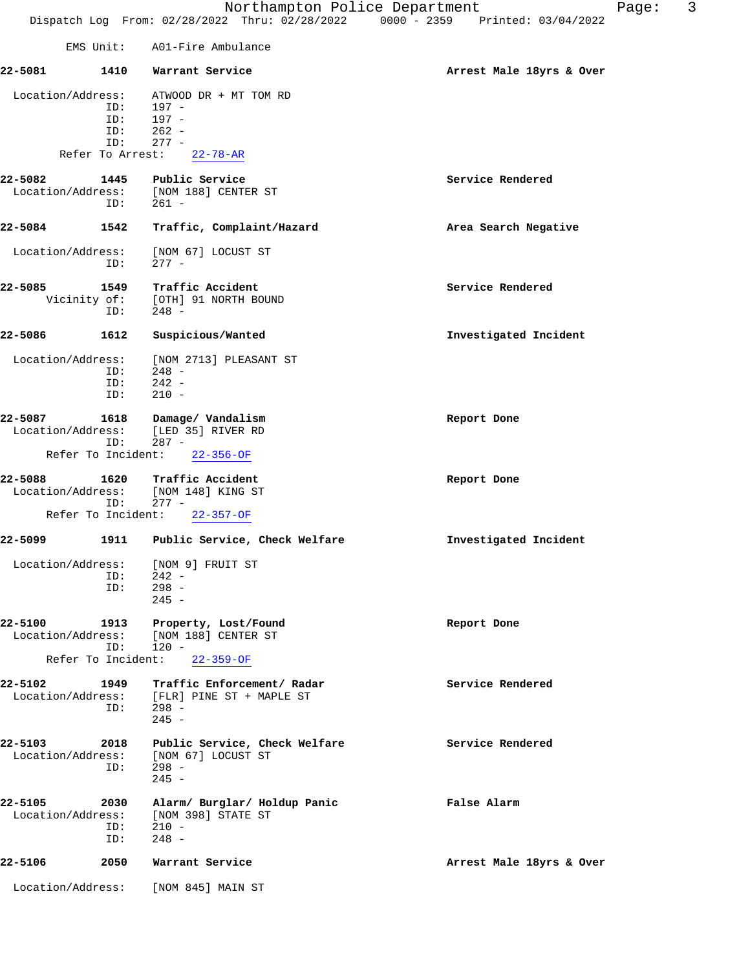|                              |                                              | EMS Unit: A01-Fire Ambulance                                                                   |                          |
|------------------------------|----------------------------------------------|------------------------------------------------------------------------------------------------|--------------------------|
| 22-5081                      | 1410                                         | Warrant Service                                                                                | Arrest Male 18yrs & Over |
| Location/Address:            | ID:<br>ID:<br>ID:<br>ID:<br>Refer To Arrest: | ATWOOD DR + MT TOM RD<br>197 -<br>$197 -$<br>$262 -$<br>$277 -$<br>$22 - 78 - AR$              |                          |
|                              |                                              |                                                                                                |                          |
| 22-5082<br>Location/Address: | 1445<br>ID:                                  | Public Service<br>[NOM 188] CENTER ST<br>$261 -$                                               | Service Rendered         |
| 22-5084                      | 1542                                         | Traffic, Complaint/Hazard                                                                      | Area Search Negative     |
| Location/Address:            | ID:                                          | [NOM 67] LOCUST ST<br>$277 -$                                                                  |                          |
| 22-5085                      | 1549<br>ID:                                  | Traffic Accident<br>Vicinity of: [OTH] 91 NORTH BOUND<br>$248 -$                               | Service Rendered         |
| 22-5086                      | 1612                                         | Suspicious/Wanted                                                                              | Investigated Incident    |
| Location/Address:            | ID:<br>ID:<br>ID:                            | [NOM 2713] PLEASANT ST<br>$248 -$<br>$242 -$<br>$210 -$                                        |                          |
| 22-5087<br>Location/Address: | 1618<br>ID:                                  | Damage/ Vandalism<br>[LED 35] RIVER RD<br>$287 -$                                              | Report Done              |
| Refer To Incident:           |                                              | $22 - 356 - OF$                                                                                |                          |
| 22-5088<br>Location/Address: | 1620<br>ID:                                  | Traffic Accident<br>[NOM 148] KING ST<br>$277 -$                                               | Report Done              |
| Refer To Incident:           |                                              | $22 - 357 - OF$                                                                                |                          |
| 22–5099                      | 1911                                         | Public Service, Check Welfare                                                                  | Investigated Incident    |
| Location/Address:            | ID:<br>ID:                                   | [NOM 9] FRUIT ST<br>$242 -$<br>$298 -$<br>$245 -$                                              |                          |
| 22-5100<br>Location/Address: | 1913<br>ID:                                  | Property, Lost/Found<br>[NOM 188] CENTER ST<br>$120 -$                                         | Report Done              |
| Refer To Incident:           |                                              | $22 - 359 - OF$                                                                                |                          |
| 22-5102                      | 1949<br>ID:                                  | Traffic Enforcement/ Radar<br>Location/Address: [FLR] PINE ST + MAPLE ST<br>$298 -$<br>$245 -$ | Service Rendered         |
| 22-5103                      | 2018<br>ID:                                  | Public Service, Check Welfare<br>Location/Address: [NOM 67] LOCUST ST<br>$298 -$<br>$245 -$    | Service Rendered         |
| 22-5105<br>Location/Address: | 2030<br>ID:<br>ID:                           | Alarm/ Burglar/ Holdup Panic<br>[NOM 398] STATE ST<br>$210 -$<br>$248 -$                       | False Alarm              |
| 22-5106                      | 2050                                         | Warrant Service                                                                                | Arrest Male 18yrs & Over |
|                              |                                              | Location/Address: [NOM 845] MAIN ST                                                            |                          |